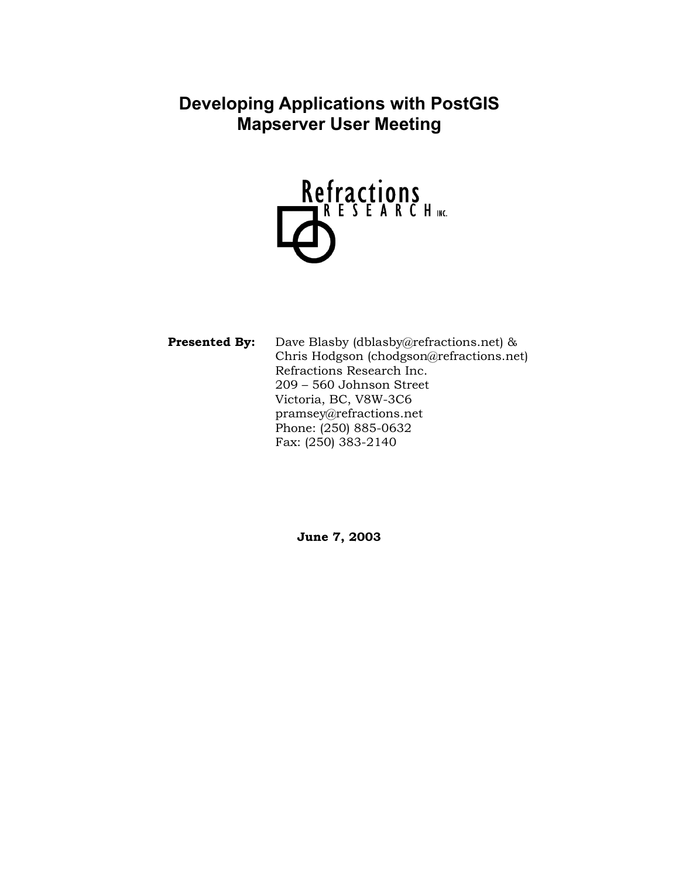**Developing Applications with PostGIS Mapserver User Meeting** 



**Presented By:** Dave Blasby (dblasby@refractions.net) & Chris Hodgson (chodgson@refractions.net) Refractions Research Inc. 209 – 560 Johnson Street Victoria, BC, V8W-3C6 pramsey@refractions.net Phone: (250) 885-0632 Fax: (250) 383-2140

**June 7, 2003**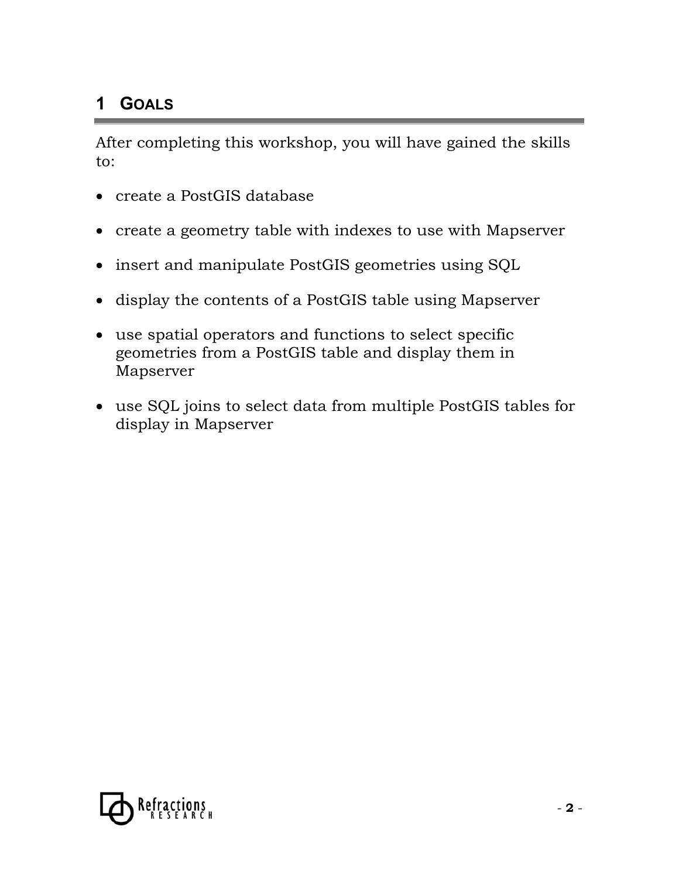### **1 GOALS**

After completing this workshop, you will have gained the skills to:

- create a PostGIS database
- create a geometry table with indexes to use with Mapserver
- insert and manipulate PostGIS geometries using SQL
- display the contents of a PostGIS table using Mapserver
- use spatial operators and functions to select specific geometries from a PostGIS table and display them in Mapserver
- use SQL joins to select data from multiple PostGIS tables for display in Mapserver

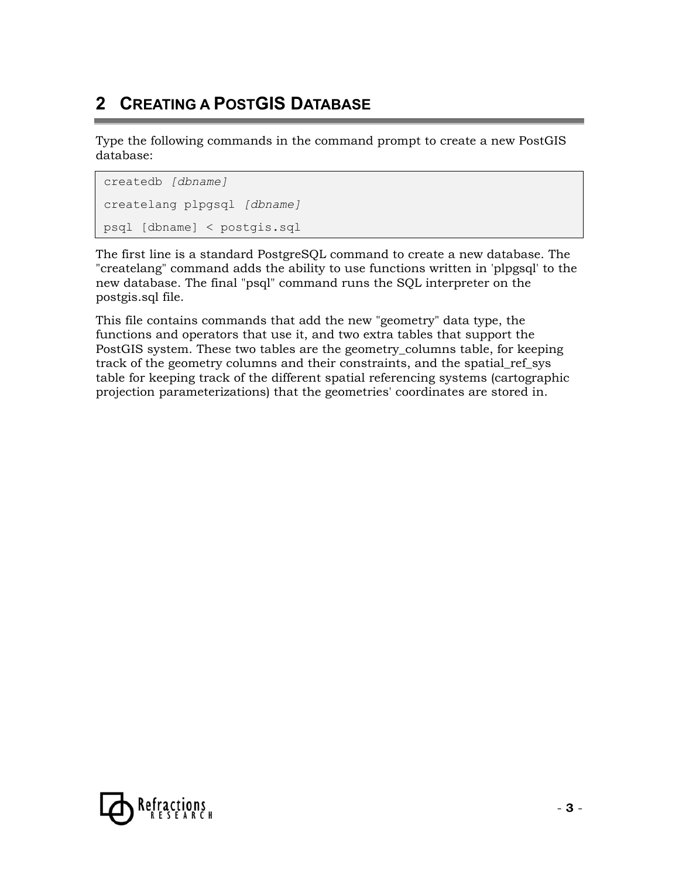# **2 CREATING A POSTGIS DATABASE**

Type the following commands in the command prompt to create a new PostGIS database:

```
createdb [dbname]
createlang plpgsql [dbname]
psql [dbname] < postgis.sql
```
The first line is a standard PostgreSQL command to create a new database. The "createlang" command adds the ability to use functions written in 'plpgsql' to the new database. The final "psql" command runs the SQL interpreter on the postgis.sql file.

This file contains commands that add the new "geometry" data type, the functions and operators that use it, and two extra tables that support the PostGIS system. These two tables are the geometry\_columns table, for keeping track of the geometry columns and their constraints, and the spatial\_ref\_sys table for keeping track of the different spatial referencing systems (cartographic projection parameterizations) that the geometries' coordinates are stored in.

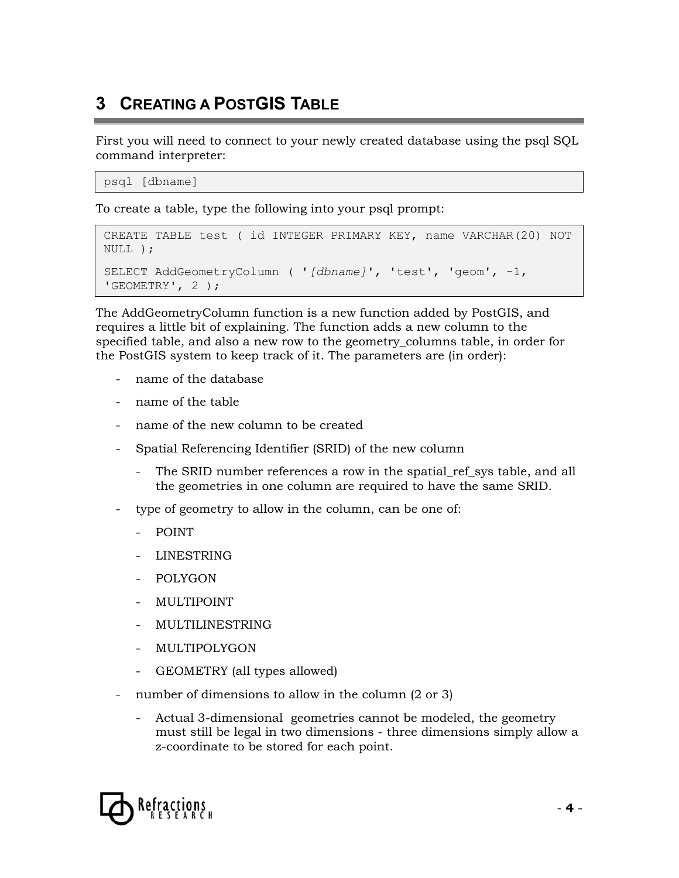# **3 CREATING A POSTGIS TABLE**

First you will need to connect to your newly created database using the psql SQL command interpreter:

```
psql [dbname]
```
To create a table, type the following into your psql prompt:

```
CREATE TABLE test ( id INTEGER PRIMARY KEY, name VARCHAR(20) NOT 
NULL ); 
SELECT AddGeometryColumn ( '[dbname]', 'test', 'geom', -1, 
'GEOMETRY', 2 );
```
The AddGeometryColumn function is a new function added by PostGIS, and requires a little bit of explaining. The function adds a new column to the specified table, and also a new row to the geometry\_columns table, in order for the PostGIS system to keep track of it. The parameters are (in order):

- name of the database
- name of the table
- name of the new column to be created
- Spatial Referencing Identifier (SRID) of the new column
	- The SRID number references a row in the spatial ref sys table, and all the geometries in one column are required to have the same SRID.
- type of geometry to allow in the column, can be one of:
	- POINT
	- LINESTRING
	- POLYGON
	- **MULTIPOINT**
	- MULTILINESTRING
	- MULTIPOLYGON
	- GEOMETRY (all types allowed)
- number of dimensions to allow in the column  $(2 \text{ or } 3)$ 
	- Actual 3-dimensional geometries cannot be modeled, the geometry must still be legal in two dimensions - three dimensions simply allow a z-coordinate to be stored for each point.

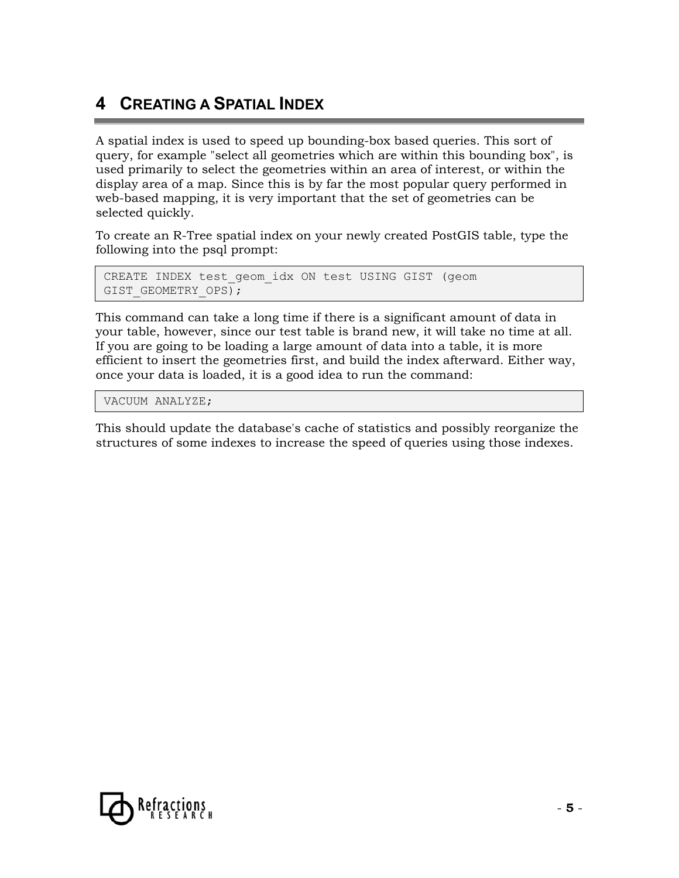### **4 CREATING A SPATIAL INDEX**

A spatial index is used to speed up bounding-box based queries. This sort of query, for example "select all geometries which are within this bounding box", is used primarily to select the geometries within an area of interest, or within the display area of a map. Since this is by far the most popular query performed in web-based mapping, it is very important that the set of geometries can be selected quickly.

To create an R-Tree spatial index on your newly created PostGIS table, type the following into the psql prompt:

```
CREATE INDEX test_geom_idx ON test USING GIST (geom 
GIST GEOMETRY OPS);
```
This command can take a long time if there is a significant amount of data in your table, however, since our test table is brand new, it will take no time at all. If you are going to be loading a large amount of data into a table, it is more efficient to insert the geometries first, and build the index afterward. Either way, once your data is loaded, it is a good idea to run the command:

VACUUM ANALYZE;

This should update the database's cache of statistics and possibly reorganize the structures of some indexes to increase the speed of queries using those indexes.

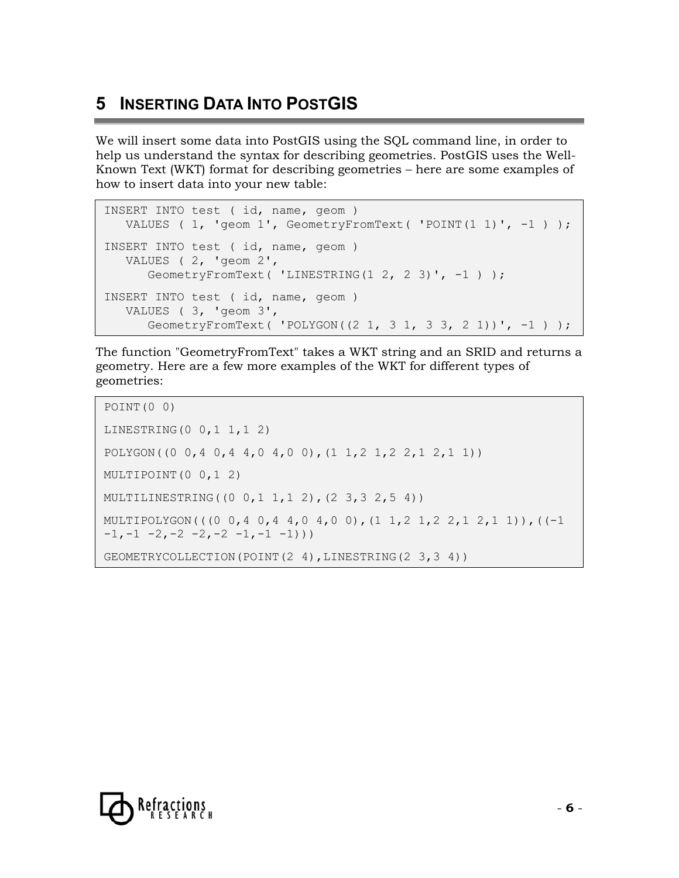# **5 INSERTING DATA INTO POSTGIS**

We will insert some data into PostGIS using the SQL command line, in order to help us understand the syntax for describing geometries. PostGIS uses the Well-Known Text (WKT) format for describing geometries – here are some examples of how to insert data into your new table:

```
INSERT INTO test ( id, name, geom ) 
   VALUES ( 1, 'geom 1', GeometryFromText ( 'POINT(1 1)', -1 ) );
INSERT INTO test ( id, name, geom ) 
    VALUES ( 2, 'geom 2', 
      GeometryFromText( 'LINESTRING(1 2, 2 3)', -1 ) );
INSERT INTO test ( id, name, geom ) 
    VALUES ( 3, 'geom 3', 
      GeometryFromText( 'POLYGON((2\ 1,\ 3\ 1,\ 3\ 3,\ 2\ 1))', -1) );
```
The function "GeometryFromText" takes a WKT string and an SRID and returns a geometry. Here are a few more examples of the WKT for different types of geometries:

```
POINT(0 0) 
LINESTRING(0 0,1 1,1 2) 
POLYGON((0 0,4 0,4 4,0 4,0 0),(1 1,2 1,2 2,1 2,1 1)) 
MULTIPOINT(0 0,1 2) 
MULTILINESTRING((0 0,1 1,1 2),(2 3,3 2,5 4)) 
MULTIPOLYGON(((0 0,4 0,4 4,0 4,0 0),(1 1,2 1,2 2,1 2,1 1)),((-1 
-1, -1 -2, -2 -2, -2 -1, -1 -1))
GEOMETRYCOLLECTION(POINT(2 4),LINESTRING(2 3,3 4))
```
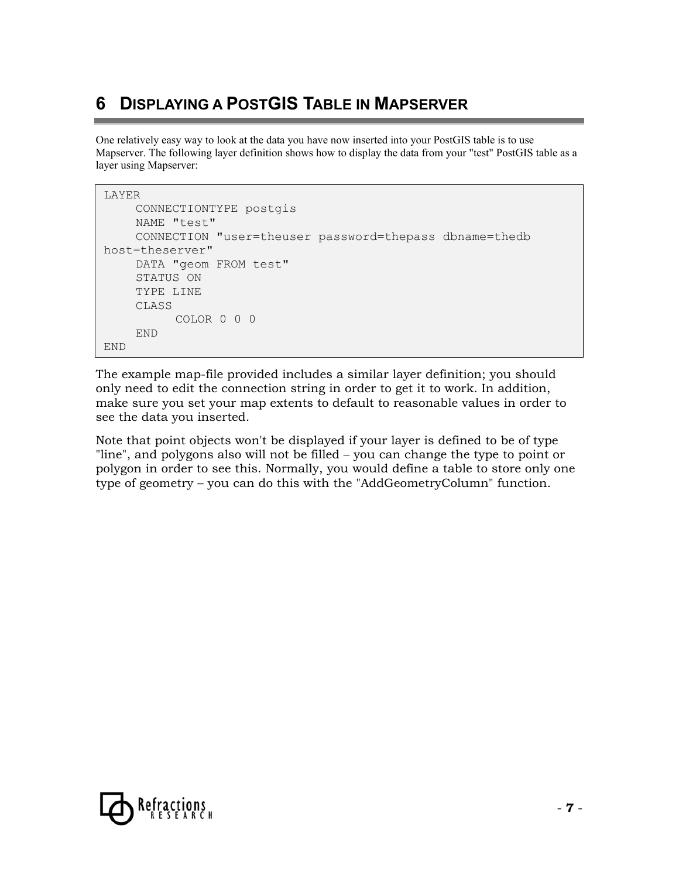## **6 DISPLAYING A POSTGIS TABLE IN MAPSERVER**

One relatively easy way to look at the data you have now inserted into your PostGIS table is to use Mapserver. The following layer definition shows how to display the data from your "test" PostGIS table as a layer using Mapserver:

```
LAYER 
     CONNECTIONTYPE postgis 
     NAME "test" 
    CONNECTION "user=theuser password=thepass dbname=thedb 
host=theserver" 
    DATA "geom FROM test" 
      STATUS ON 
      TYPE LINE 
      CLASS 
          COLOR 0 0 0 
      END 
END
```
The example map-file provided includes a similar layer definition; you should only need to edit the connection string in order to get it to work. In addition, make sure you set your map extents to default to reasonable values in order to see the data you inserted.

Note that point objects won't be displayed if your layer is defined to be of type "line", and polygons also will not be filled – you can change the type to point or polygon in order to see this. Normally, you would define a table to store only one type of geometry – you can do this with the "AddGeometryColumn" function.

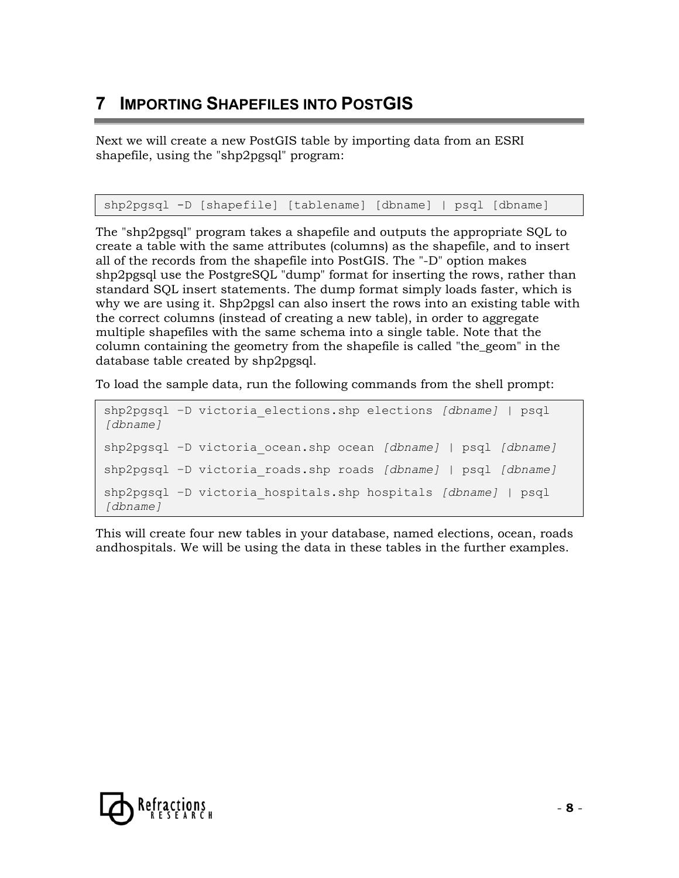# **7 IMPORTING SHAPEFILES INTO POSTGIS**

Next we will create a new PostGIS table by importing data from an ESRI shapefile, using the "shp2pgsql" program:

shp2pgsql -D [shapefile] [tablename] [dbname] | psql [dbname]

The "shp2pgsql" program takes a shapefile and outputs the appropriate SQL to create a table with the same attributes (columns) as the shapefile, and to insert all of the records from the shapefile into PostGIS. The "-D" option makes shp2pgsql use the PostgreSQL "dump" format for inserting the rows, rather than standard SQL insert statements. The dump format simply loads faster, which is why we are using it. Shp2pgsl can also insert the rows into an existing table with the correct columns (instead of creating a new table), in order to aggregate multiple shapefiles with the same schema into a single table. Note that the column containing the geometry from the shapefile is called "the\_geom" in the database table created by shp2pgsql.

To load the sample data, run the following commands from the shell prompt:

```
shp2pgsql –D victoria_elections.shp elections [dbname] | psql 
[dbname] 
shp2pgsql –D victoria_ocean.shp ocean [dbname] | psql [dbname]
shp2pgsql –D victoria_roads.shp roads [dbname] | psql [dbname]
shp2pgsql –D victoria_hospitals.shp hospitals [dbname] | psql 
[dbname]
```
This will create four new tables in your database, named elections, ocean, roads andhospitals. We will be using the data in these tables in the further examples.

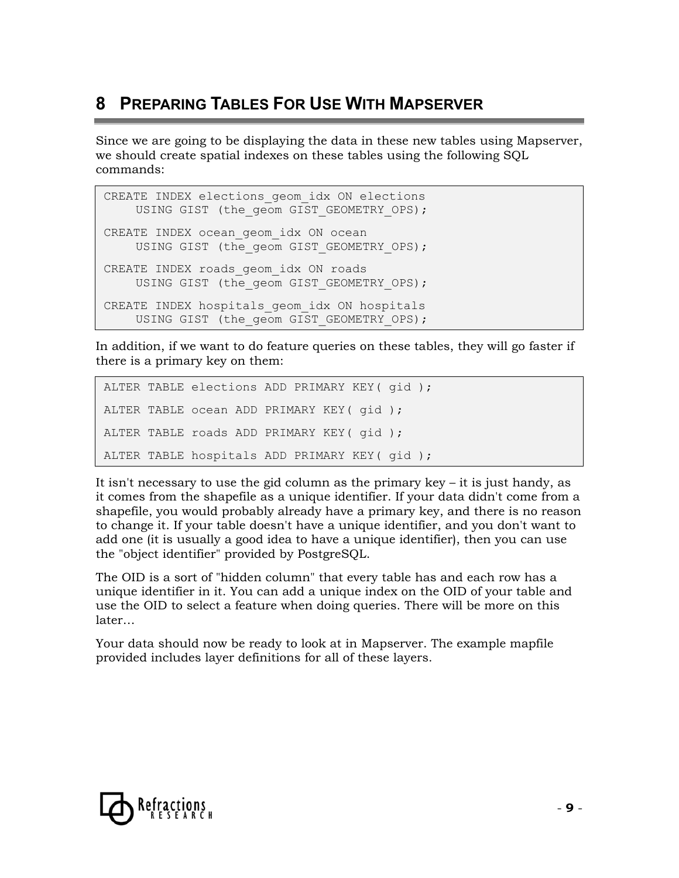## **8 PREPARING TABLES FOR USE WITH MAPSERVER**

Since we are going to be displaying the data in these new tables using Mapserver, we should create spatial indexes on these tables using the following SQL commands:

```
CREATE INDEX elections geom idx ON elections
    USING GIST (the geom GIST GEOMETRY OPS);
CREATE INDEX ocean geom idx ON ocean
    USING GIST (the geom GIST GEOMETRY OPS);
CREATE INDEX roads geom idx ON roads
    USING GIST (the geom GIST GEOMETRY OPS);
CREATE INDEX hospitals geom idx ON hospitals
    USING GIST (the geom GIST GEOMETRY OPS);
```
In addition, if we want to do feature queries on these tables, they will go faster if there is a primary key on them:

```
ALTER TABLE elections ADD PRIMARY KEY( gid ); 
ALTER TABLE ocean ADD PRIMARY KEY( gid ); 
ALTER TABLE roads ADD PRIMARY KEY( gid ); 
ALTER TABLE hospitals ADD PRIMARY KEY( gid );
```
It isn't necessary to use the gid column as the primary key  $-$  it is just handy, as it comes from the shapefile as a unique identifier. If your data didn't come from a shapefile, you would probably already have a primary key, and there is no reason to change it. If your table doesn't have a unique identifier, and you don't want to add one (it is usually a good idea to have a unique identifier), then you can use the "object identifier" provided by PostgreSQL.

The OID is a sort of "hidden column" that every table has and each row has a unique identifier in it. You can add a unique index on the OID of your table and use the OID to select a feature when doing queries. There will be more on this later…

Your data should now be ready to look at in Mapserver. The example mapfile provided includes layer definitions for all of these layers.

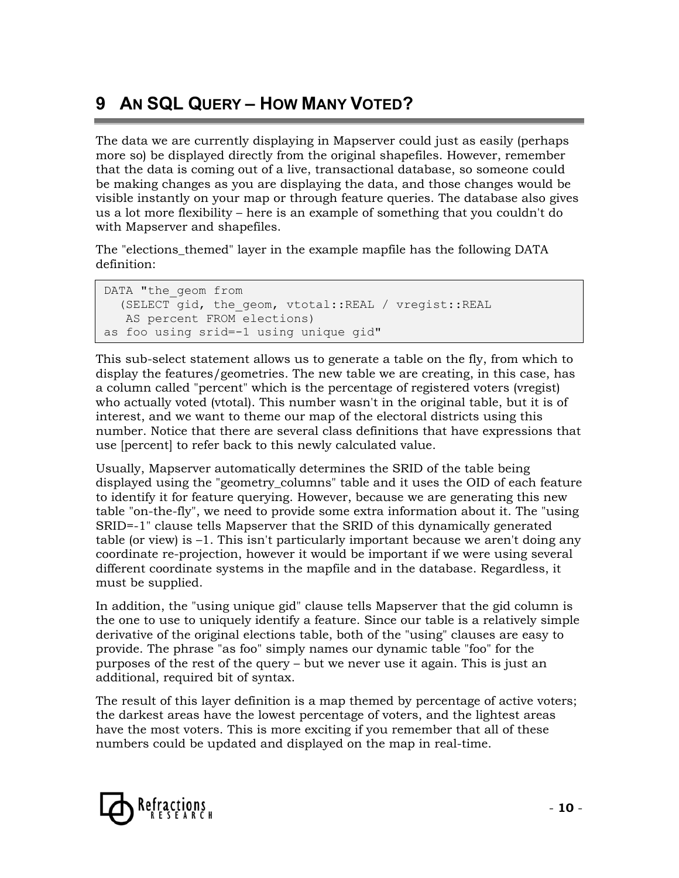# **9 AN SQL QUERY – HOW MANY VOTED?**

The data we are currently displaying in Mapserver could just as easily (perhaps more so) be displayed directly from the original shapefiles. However, remember that the data is coming out of a live, transactional database, so someone could be making changes as you are displaying the data, and those changes would be visible instantly on your map or through feature queries. The database also gives us a lot more flexibility – here is an example of something that you couldn't do with Mapserver and shapefiles.

The "elections\_themed" layer in the example mapfile has the following DATA definition:

```
DATA "the geom from
  (SELECT gid, the geom, vtotal::REAL / vregist::REAL
   AS percent FROM elections) 
as foo using srid=-1 using unique gid"
```
This sub-select statement allows us to generate a table on the fly, from which to display the features/geometries. The new table we are creating, in this case, has a column called "percent" which is the percentage of registered voters (vregist) who actually voted (vtotal). This number wasn't in the original table, but it is of interest, and we want to theme our map of the electoral districts using this number. Notice that there are several class definitions that have expressions that use [percent] to refer back to this newly calculated value.

Usually, Mapserver automatically determines the SRID of the table being displayed using the "geometry\_columns" table and it uses the OID of each feature to identify it for feature querying. However, because we are generating this new table "on-the-fly", we need to provide some extra information about it. The "using SRID=-1" clause tells Mapserver that the SRID of this dynamically generated table (or view) is –1. This isn't particularly important because we aren't doing any coordinate re-projection, however it would be important if we were using several different coordinate systems in the mapfile and in the database. Regardless, it must be supplied.

In addition, the "using unique gid" clause tells Mapserver that the gid column is the one to use to uniquely identify a feature. Since our table is a relatively simple derivative of the original elections table, both of the "using" clauses are easy to provide. The phrase "as foo" simply names our dynamic table "foo" for the purposes of the rest of the query – but we never use it again. This is just an additional, required bit of syntax.

The result of this layer definition is a map themed by percentage of active voters; the darkest areas have the lowest percentage of voters, and the lightest areas have the most voters. This is more exciting if you remember that all of these numbers could be updated and displayed on the map in real-time.

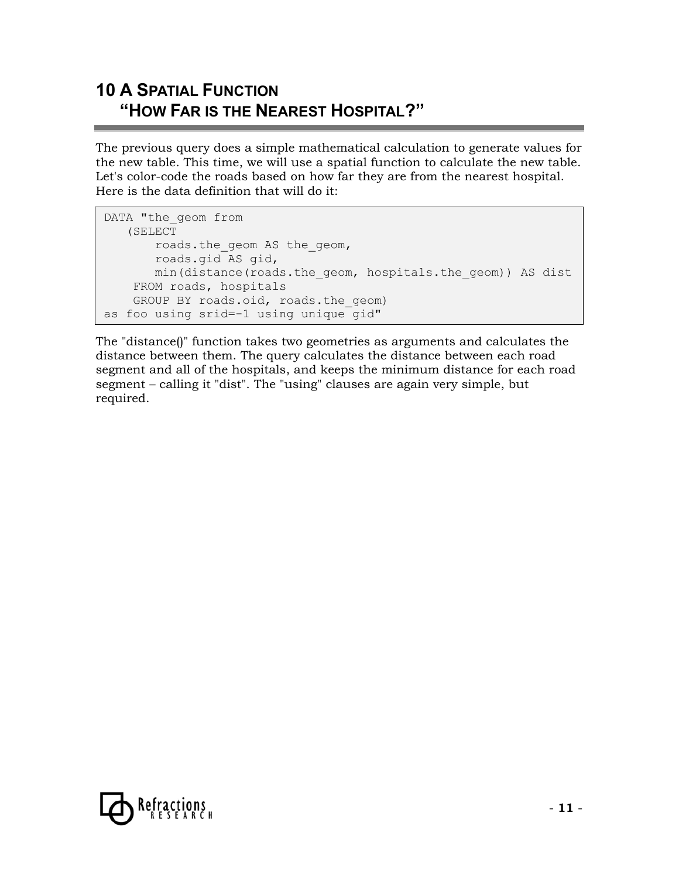## **10 A SPATIAL FUNCTION "HOW FAR IS THE NEAREST HOSPITAL?"**

The previous query does a simple mathematical calculation to generate values for the new table. This time, we will use a spatial function to calculate the new table. Let's color-code the roads based on how far they are from the nearest hospital. Here is the data definition that will do it:

```
DATA "the geom from
    (SELECT 
        roads.the_geom AS the_geom, 
        roads.gid AS gid, 
        min(distance(roads.the_geom, hospitals.the_geom)) AS dist 
     FROM roads, hospitals 
    GROUP BY roads.oid, roads.the geom)
as foo using srid=-1 using unique gid"
```
The "distance()" function takes two geometries as arguments and calculates the distance between them. The query calculates the distance between each road segment and all of the hospitals, and keeps the minimum distance for each road segment – calling it "dist". The "using" clauses are again very simple, but required.

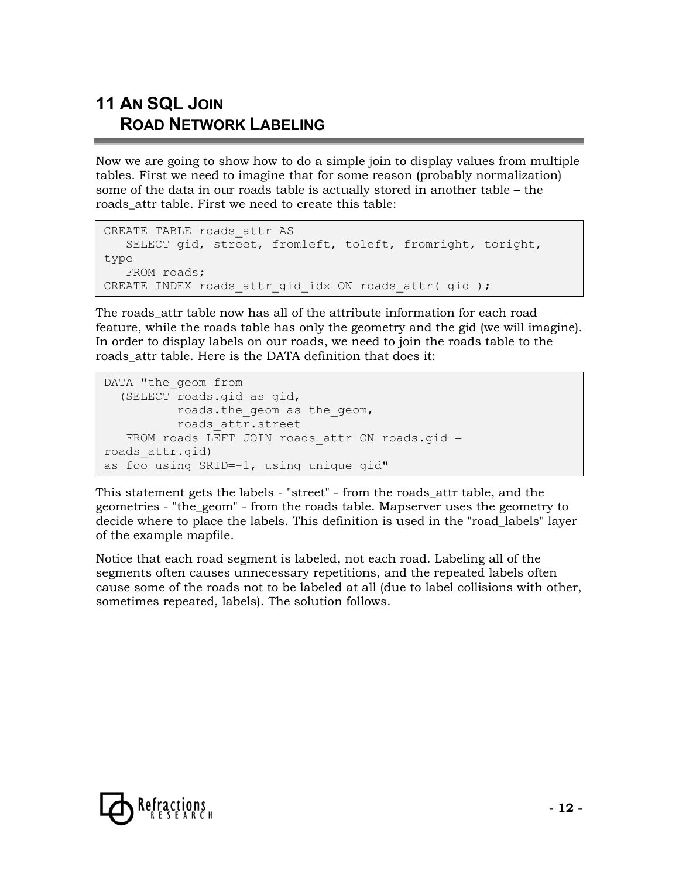# **11 AN SQL JOIN ROAD NETWORK LABELING**

Now we are going to show how to do a simple join to display values from multiple tables. First we need to imagine that for some reason (probably normalization) some of the data in our roads table is actually stored in another table – the roads attr table. First we need to create this table:

```
CREATE TABLE roads_attr AS 
    SELECT gid, street, fromleft, toleft, fromright, toright, 
type 
    FROM roads; 
CREATE INDEX roads attr qid idx ON roads attr( gid );
```
The roads attr table now has all of the attribute information for each road feature, while the roads table has only the geometry and the gid (we will imagine). In order to display labels on our roads, we need to join the roads table to the roads attr table. Here is the DATA definition that does it:

```
DATA "the geom from
   (SELECT roads.gid as gid, 
           roads.the_geom as the_geom, 
           roads_attr.street 
   FROM roads LEFT JOIN roads attr ON roads.gid =
roads_attr.gid) 
as foo using SRID=-1, using unique gid"
```
This statement gets the labels - "street" - from the roads\_attr table, and the geometries - "the\_geom" - from the roads table. Mapserver uses the geometry to decide where to place the labels. This definition is used in the "road\_labels" layer of the example mapfile.

Notice that each road segment is labeled, not each road. Labeling all of the segments often causes unnecessary repetitions, and the repeated labels often cause some of the roads not to be labeled at all (due to label collisions with other, sometimes repeated, labels). The solution follows.

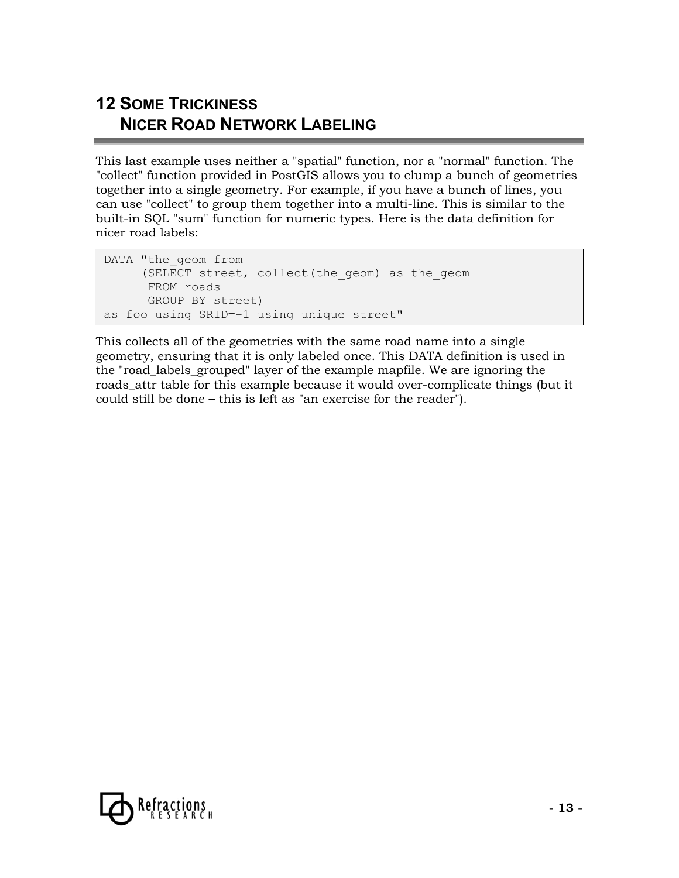# **12 SOME TRICKINESS NICER ROAD NETWORK LABELING**

This last example uses neither a "spatial" function, nor a "normal" function. The "collect" function provided in PostGIS allows you to clump a bunch of geometries together into a single geometry. For example, if you have a bunch of lines, you can use "collect" to group them together into a multi-line. This is similar to the built-in SQL "sum" function for numeric types. Here is the data definition for nicer road labels:

```
DATA "the geom from
      (SELECT street, collect(the_geom) as the_geom 
       FROM roads 
       GROUP BY street) 
as foo using SRID=-1 using unique street"
```
This collects all of the geometries with the same road name into a single geometry, ensuring that it is only labeled once. This DATA definition is used in the "road\_labels\_grouped" layer of the example mapfile. We are ignoring the roads\_attr table for this example because it would over-complicate things (but it could still be done – this is left as "an exercise for the reader").